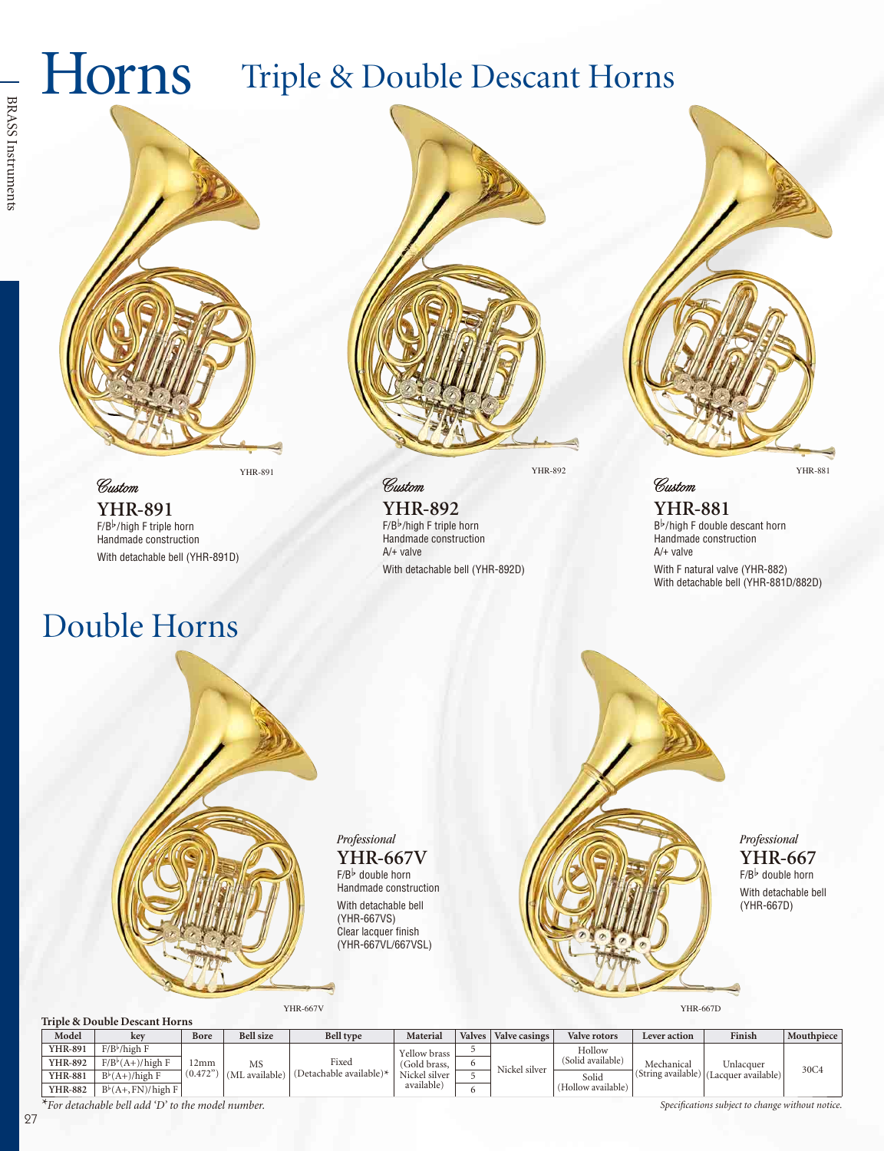### Triple & Double Descant Horns Horns



**YHR-891**  $F/B^{\frac{1}{2}}$ /high F triple horn Handmade construction With detachable bell (YHR-891D)

### Double Horns

Custom



YHR-891 YHR-892

**YHR-892**  $F/B^b/h$ igh F triple horn Handmade construction A/+ valve With detachable bell (YHR-892D)

YHR-881

**YHR-881** Bb/high F double descant horn Handmade construction A/+ valve With F natural valve (YHR-882) With detachable bell (YHR-881D/882D)

Custom

*Professional* 

**YHR-667V**

 $F/B^{\frac{1}{p}}$  double horn Handmade construction With detachable bell (YHR-667VS) Clear lacquer finish (YHR-667VL/667VSL)

YHR-667V



*Professional*  **YHR-667**  $F/B^{\frac{1}{p}}$  double horn With detachable bell (YHR-667D)

#### **Triple & Double Descant Horns**

| Model          | kev                       | Bore            | <b>Bell</b> size             | <b>Bell type</b>                    | Material                                                    | <b>Valves</b> | Valve casings | Valve rotors       | Lever action                     | Finish                           | Mouthpiece |
|----------------|---------------------------|-----------------|------------------------------|-------------------------------------|-------------------------------------------------------------|---------------|---------------|--------------------|----------------------------------|----------------------------------|------------|
| <b>YHR-891</b> | $F/B^{\flat}/$ high F     | 12mm<br>(0.472) | MS<br>available <sup>)</sup> | Fixed<br>(Detachable available) $*$ | Yellow brass<br>(Gold brass,<br>Nickel silver<br>available) |               | Nickel silver | Hollow             | Mechanical<br>(String available) | Unlacquer<br>(Lacquer available) | 30C4       |
| YHR-892        | $F/B^{\flat}(A+)$ /high F |                 |                              |                                     |                                                             | $\mathbf{a}$  |               | (Solid available)  |                                  |                                  |            |
| <b>YHR-881</b> | $B^{\flat}(A+)/high$ F    |                 |                              |                                     |                                                             |               |               | Solid              |                                  |                                  |            |
| <b>YHR-882</b> | $B^b(A+, FN)/hich F$      |                 |                              |                                     |                                                             |               |               | (Hollow available) |                                  |                                  |            |

*\*For detachable bell add 'D' to the model number.* Specifications subject to change without notice.